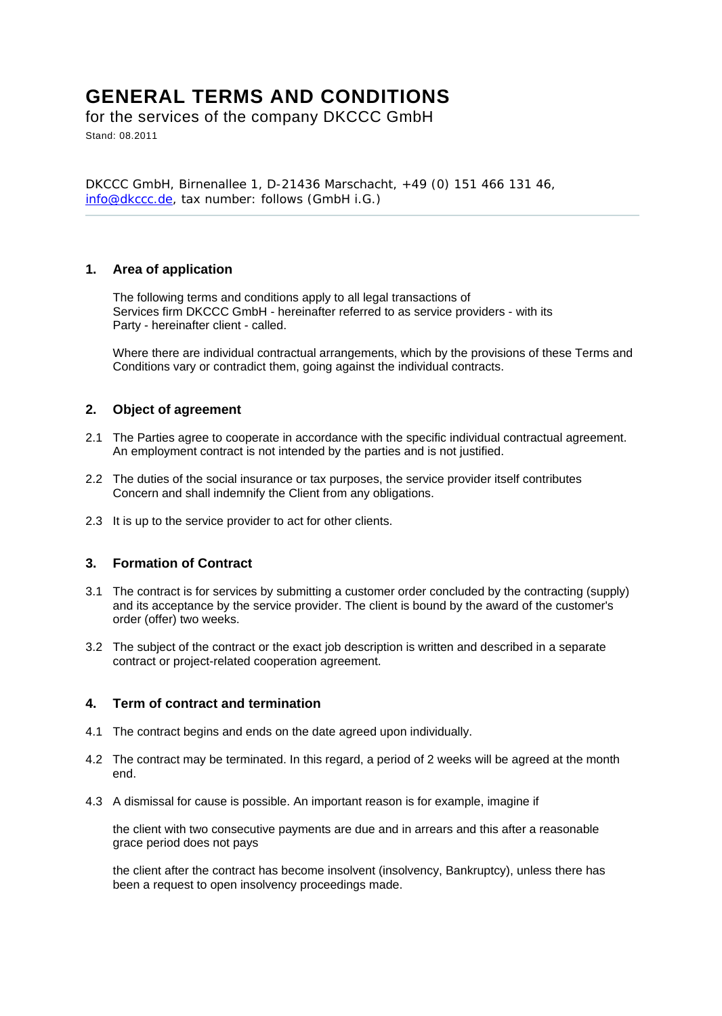# **GENERAL TERMS AND CONDITIONS**

for the services of the company DKCCC GmbH Stand: 08.2011

DKCCC GmbH, Birnenallee 1, D-21436 Marschacht, +49 (0) 151 466 131 46, info@dkccc.de, tax number: follows (GmbH i.G.)

### **1. Area of application**

The following terms and conditions apply to all legal transactions of Services firm DKCCC GmbH - hereinafter referred to as service providers - with its Party - hereinafter client - called.

Where there are individual contractual arrangements, which by the provisions of these Terms and Conditions vary or contradict them, going against the individual contracts.

### **2. Object of agreement**

- 2.1 The Parties agree to cooperate in accordance with the specific individual contractual agreement. An employment contract is not intended by the parties and is not justified.
- 2.2 The duties of the social insurance or tax purposes, the service provider itself contributes Concern and shall indemnify the Client from any obligations.
- 2.3 It is up to the service provider to act for other clients.

### **3. Formation of Contract**

- 3.1 The contract is for services by submitting a customer order concluded by the contracting (supply) and its acceptance by the service provider. The client is bound by the award of the customer's order (offer) two weeks.
- 3.2 The subject of the contract or the exact job description is written and described in a separate contract or project-related cooperation agreement.

#### **4. Term of contract and termination**

- 4.1 The contract begins and ends on the date agreed upon individually.
- 4.2 The contract may be terminated. In this regard, a period of 2 weeks will be agreed at the month end.
- 4.3 A dismissal for cause is possible. An important reason is for example, imagine if

the client with two consecutive payments are due and in arrears and this after a reasonable grace period does not pays

the client after the contract has become insolvent (insolvency, Bankruptcy), unless there has been a request to open insolvency proceedings made.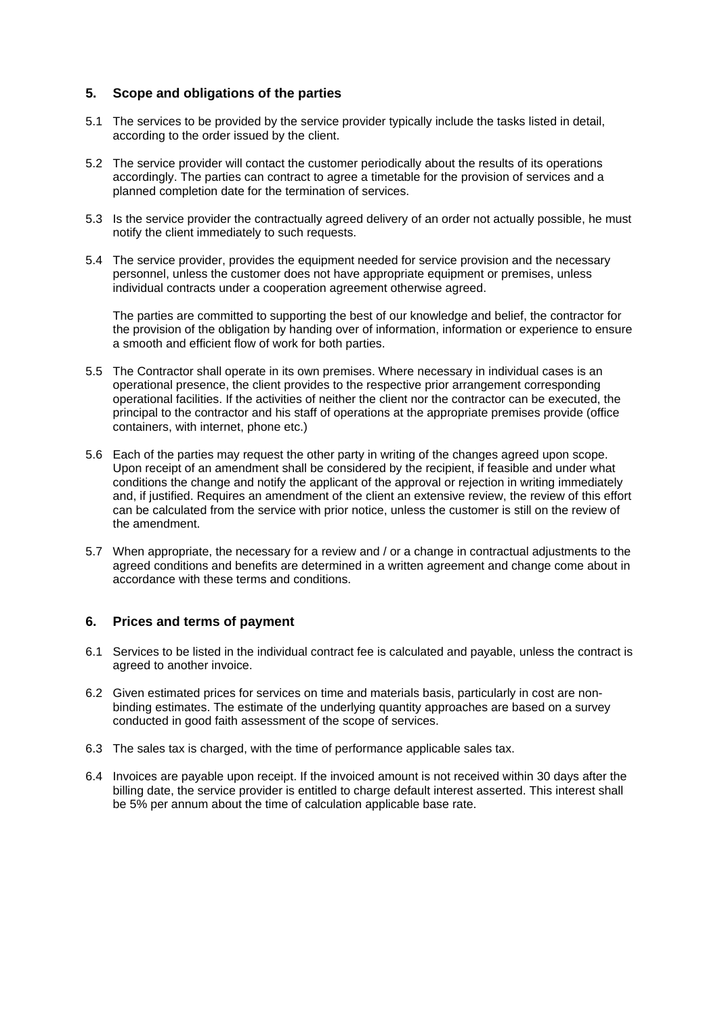## **5. Scope and obligations of the parties**

- 5.1 The services to be provided by the service provider typically include the tasks listed in detail, according to the order issued by the client.
- 5.2 The service provider will contact the customer periodically about the results of its operations accordingly. The parties can contract to agree a timetable for the provision of services and a planned completion date for the termination of services.
- 5.3 Is the service provider the contractually agreed delivery of an order not actually possible, he must notify the client immediately to such requests.
- 5.4 The service provider, provides the equipment needed for service provision and the necessary personnel, unless the customer does not have appropriate equipment or premises, unless individual contracts under a cooperation agreement otherwise agreed.

The parties are committed to supporting the best of our knowledge and belief, the contractor for the provision of the obligation by handing over of information, information or experience to ensure a smooth and efficient flow of work for both parties.

- 5.5 The Contractor shall operate in its own premises. Where necessary in individual cases is an operational presence, the client provides to the respective prior arrangement corresponding operational facilities. If the activities of neither the client nor the contractor can be executed, the principal to the contractor and his staff of operations at the appropriate premises provide (office containers, with internet, phone etc.)
- 5.6 Each of the parties may request the other party in writing of the changes agreed upon scope. Upon receipt of an amendment shall be considered by the recipient, if feasible and under what conditions the change and notify the applicant of the approval or rejection in writing immediately and, if justified. Requires an amendment of the client an extensive review, the review of this effort can be calculated from the service with prior notice, unless the customer is still on the review of the amendment.
- 5.7 When appropriate, the necessary for a review and / or a change in contractual adjustments to the agreed conditions and benefits are determined in a written agreement and change come about in accordance with these terms and conditions.

### **6. Prices and terms of payment**

- 6.1 Services to be listed in the individual contract fee is calculated and payable, unless the contract is agreed to another invoice.
- 6.2 Given estimated prices for services on time and materials basis, particularly in cost are nonbinding estimates. The estimate of the underlying quantity approaches are based on a survey conducted in good faith assessment of the scope of services.
- 6.3 The sales tax is charged, with the time of performance applicable sales tax.
- 6.4 Invoices are payable upon receipt. If the invoiced amount is not received within 30 days after the billing date, the service provider is entitled to charge default interest asserted. This interest shall be 5% per annum about the time of calculation applicable base rate.